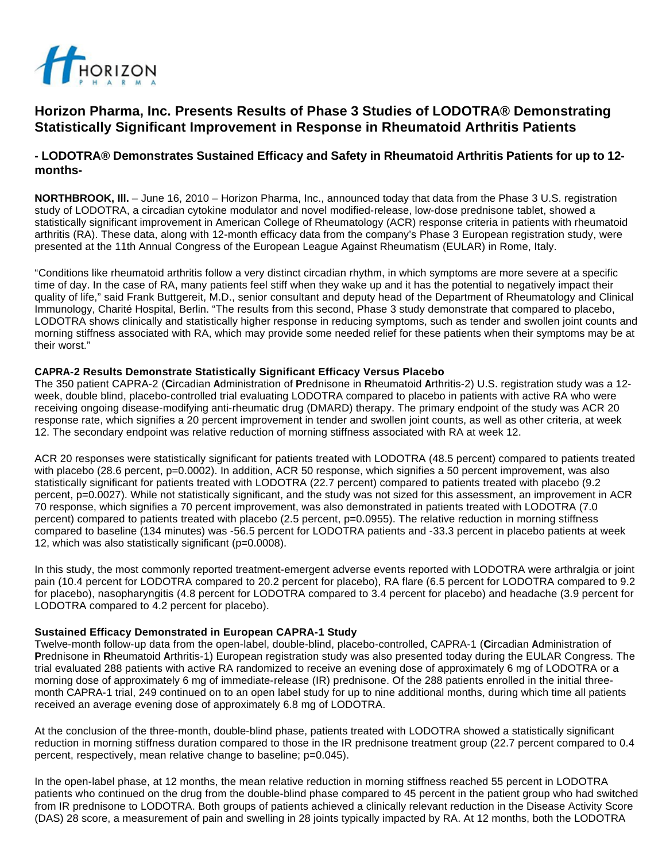

# **Horizon Pharma, Inc. Presents Results of Phase 3 Studies of LODOTRA® Demonstrating Statistically Significant Improvement in Response in Rheumatoid Arthritis Patients**

# **- LODOTRA® Demonstrates Sustained Efficacy and Safety in Rheumatoid Arthritis Patients for up to 12 months-**

**NORTHBROOK, Ill.** – June 16, 2010 – Horizon Pharma, Inc., announced today that data from the Phase 3 U.S. registration study of LODOTRA, a circadian cytokine modulator and novel modified-release, low-dose prednisone tablet, showed a statistically significant improvement in American College of Rheumatology (ACR) response criteria in patients with rheumatoid arthritis (RA). These data, along with 12-month efficacy data from the company's Phase 3 European registration study, were presented at the 11th Annual Congress of the European League Against Rheumatism (EULAR) in Rome, Italy.

"Conditions like rheumatoid arthritis follow a very distinct circadian rhythm, in which symptoms are more severe at a specific time of day. In the case of RA, many patients feel stiff when they wake up and it has the potential to negatively impact their quality of life," said Frank Buttgereit, M.D., senior consultant and deputy head of the Department of Rheumatology and Clinical Immunology, Charité Hospital, Berlin. "The results from this second, Phase 3 study demonstrate that compared to placebo, LODOTRA shows clinically and statistically higher response in reducing symptoms, such as tender and swollen joint counts and morning stiffness associated with RA, which may provide some needed relief for these patients when their symptoms may be at their worst."

#### **CAPRA-2 Results Demonstrate Statistically Significant Efficacy Versus Placebo**

The 350 patient CAPRA-2 (**C**ircadian **A**dministration of **P**rednisone in **R**heumatoid **A**rthritis-2) U.S. registration study was a 12 week, double blind, placebo-controlled trial evaluating LODOTRA compared to placebo in patients with active RA who were receiving ongoing disease-modifying anti-rheumatic drug (DMARD) therapy. The primary endpoint of the study was ACR 20 response rate, which signifies a 20 percent improvement in tender and swollen joint counts, as well as other criteria, at week 12. The secondary endpoint was relative reduction of morning stiffness associated with RA at week 12.

ACR 20 responses were statistically significant for patients treated with LODOTRA (48.5 percent) compared to patients treated with placebo (28.6 percent, p=0.0002). In addition, ACR 50 response, which signifies a 50 percent improvement, was also statistically significant for patients treated with LODOTRA (22.7 percent) compared to patients treated with placebo (9.2 percent, p=0.0027). While not statistically significant, and the study was not sized for this assessment, an improvement in ACR 70 response, which signifies a 70 percent improvement, was also demonstrated in patients treated with LODOTRA (7.0 percent) compared to patients treated with placebo (2.5 percent, p=0.0955). The relative reduction in morning stiffness compared to baseline (134 minutes) was -56.5 percent for LODOTRA patients and -33.3 percent in placebo patients at week 12, which was also statistically significant (p=0.0008).

In this study, the most commonly reported treatment-emergent adverse events reported with LODOTRA were arthralgia or joint pain (10.4 percent for LODOTRA compared to 20.2 percent for placebo), RA flare (6.5 percent for LODOTRA compared to 9.2 for placebo), nasopharyngitis (4.8 percent for LODOTRA compared to 3.4 percent for placebo) and headache (3.9 percent for LODOTRA compared to 4.2 percent for placebo).

#### **Sustained Efficacy Demonstrated in European CAPRA-1 Study**

Twelve-month follow-up data from the open-label, double-blind, placebo-controlled, CAPRA-1 (**C**ircadian **A**dministration of **P**rednisone in **R**heumatoid **A**rthritis-1) European registration study was also presented today during the EULAR Congress. The trial evaluated 288 patients with active RA randomized to receive an evening dose of approximately 6 mg of LODOTRA or a morning dose of approximately 6 mg of immediate-release (IR) prednisone. Of the 288 patients enrolled in the initial threemonth CAPRA-1 trial, 249 continued on to an open label study for up to nine additional months, during which time all patients received an average evening dose of approximately 6.8 mg of LODOTRA.

At the conclusion of the three-month, double-blind phase, patients treated with LODOTRA showed a statistically significant reduction in morning stiffness duration compared to those in the IR prednisone treatment group (22.7 percent compared to 0.4 percent, respectively, mean relative change to baseline; p=0.045).

In the open-label phase, at 12 months, the mean relative reduction in morning stiffness reached 55 percent in LODOTRA patients who continued on the drug from the double-blind phase compared to 45 percent in the patient group who had switched from IR prednisone to LODOTRA. Both groups of patients achieved a clinically relevant reduction in the Disease Activity Score (DAS) 28 score, a measurement of pain and swelling in 28 joints typically impacted by RA. At 12 months, both the LODOTRA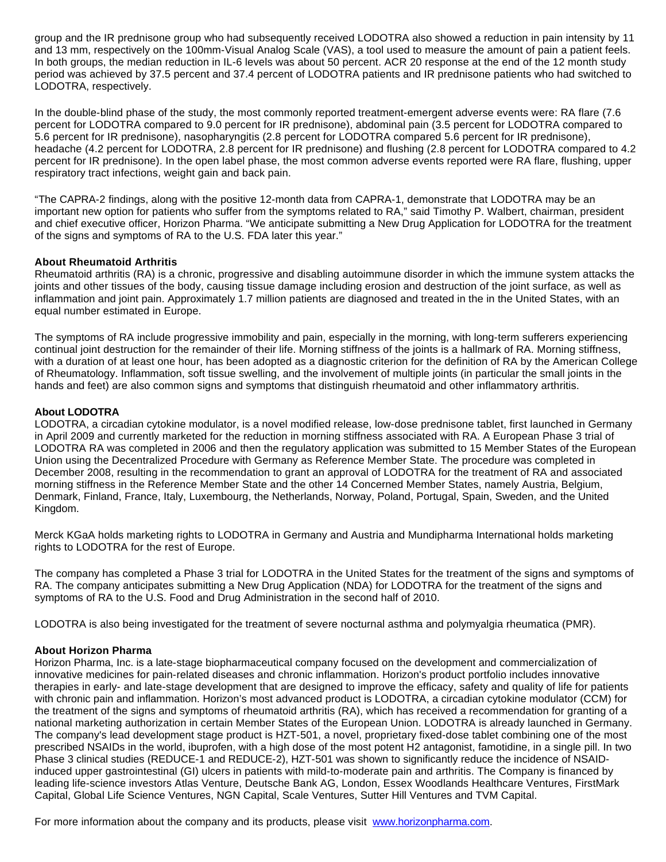group and the IR prednisone group who had subsequently received LODOTRA also showed a reduction in pain intensity by 11 and 13 mm, respectively on the 100mm-Visual Analog Scale (VAS), a tool used to measure the amount of pain a patient feels. In both groups, the median reduction in IL-6 levels was about 50 percent. ACR 20 response at the end of the 12 month study period was achieved by 37.5 percent and 37.4 percent of LODOTRA patients and IR prednisone patients who had switched to LODOTRA, respectively.

In the double-blind phase of the study, the most commonly reported treatment-emergent adverse events were: RA flare (7.6 percent for LODOTRA compared to 9.0 percent for IR prednisone), abdominal pain (3.5 percent for LODOTRA compared to 5.6 percent for IR prednisone), nasopharyngitis (2.8 percent for LODOTRA compared 5.6 percent for IR prednisone), headache (4.2 percent for LODOTRA, 2.8 percent for IR prednisone) and flushing (2.8 percent for LODOTRA compared to 4.2 percent for IR prednisone). In the open label phase, the most common adverse events reported were RA flare, flushing, upper respiratory tract infections, weight gain and back pain.

"The CAPRA-2 findings, along with the positive 12-month data from CAPRA-1, demonstrate that LODOTRA may be an important new option for patients who suffer from the symptoms related to RA," said Timothy P. Walbert, chairman, president and chief executive officer, Horizon Pharma. "We anticipate submitting a New Drug Application for LODOTRA for the treatment of the signs and symptoms of RA to the U.S. FDA later this year."

### **About Rheumatoid Arthritis**

Rheumatoid arthritis (RA) is a chronic, progressive and disabling autoimmune disorder in which the immune system attacks the joints and other tissues of the body, causing tissue damage including erosion and destruction of the joint surface, as well as inflammation and joint pain. Approximately 1.7 million patients are diagnosed and treated in the in the United States, with an equal number estimated in Europe.

The symptoms of RA include progressive immobility and pain, especially in the morning, with long-term sufferers experiencing continual joint destruction for the remainder of their life. Morning stiffness of the joints is a hallmark of RA. Morning stiffness, with a duration of at least one hour, has been adopted as a diagnostic criterion for the definition of RA by the American College of Rheumatology. Inflammation, soft tissue swelling, and the involvement of multiple joints (in particular the small joints in the hands and feet) are also common signs and symptoms that distinguish rheumatoid and other inflammatory arthritis.

# **About LODOTRA**

LODOTRA, a circadian cytokine modulator, is a novel modified release, low-dose prednisone tablet, first launched in Germany in April 2009 and currently marketed for the reduction in morning stiffness associated with RA. A European Phase 3 trial of LODOTRA RA was completed in 2006 and then the regulatory application was submitted to 15 Member States of the European Union using the Decentralized Procedure with Germany as Reference Member State. The procedure was completed in December 2008, resulting in the recommendation to grant an approval of LODOTRA for the treatment of RA and associated morning stiffness in the Reference Member State and the other 14 Concerned Member States, namely Austria, Belgium, Denmark, Finland, France, Italy, Luxembourg, the Netherlands, Norway, Poland, Portugal, Spain, Sweden, and the United Kingdom.

Merck KGaA holds marketing rights to LODOTRA in Germany and Austria and Mundipharma International holds marketing rights to LODOTRA for the rest of Europe.

The company has completed a Phase 3 trial for LODOTRA in the United States for the treatment of the signs and symptoms of RA. The company anticipates submitting a New Drug Application (NDA) for LODOTRA for the treatment of the signs and symptoms of RA to the U.S. Food and Drug Administration in the second half of 2010.

LODOTRA is also being investigated for the treatment of severe nocturnal asthma and polymyalgia rheumatica (PMR).

# **About Horizon Pharma**

Horizon Pharma, Inc. is a late-stage biopharmaceutical company focused on the development and commercialization of innovative medicines for pain-related diseases and chronic inflammation. Horizon's product portfolio includes innovative therapies in early- and late-stage development that are designed to improve the efficacy, safety and quality of life for patients with chronic pain and inflammation. Horizon's most advanced product is LODOTRA, a circadian cytokine modulator (CCM) for the treatment of the signs and symptoms of rheumatoid arthritis (RA), which has received a recommendation for granting of a national marketing authorization in certain Member States of the European Union. LODOTRA is already launched in Germany. The company's lead development stage product is HZT-501, a novel, proprietary fixed-dose tablet combining one of the most prescribed NSAIDs in the world, ibuprofen, with a high dose of the most potent H2 antagonist, famotidine, in a single pill. In two Phase 3 clinical studies (REDUCE-1 and REDUCE-2), HZT-501 was shown to significantly reduce the incidence of NSAIDinduced upper gastrointestinal (GI) ulcers in patients with mild-to-moderate pain and arthritis. The Company is financed by leading life-science investors Atlas Venture, Deutsche Bank AG, London, Essex Woodlands Healthcare Ventures, FirstMark Capital, Global Life Science Ventures, NGN Capital, Scale Ventures, Sutter Hill Ventures and TVM Capital.

For more information about the company and its products, please visit [www.horizonpharma.com](http://www.horizonpharma.com/).